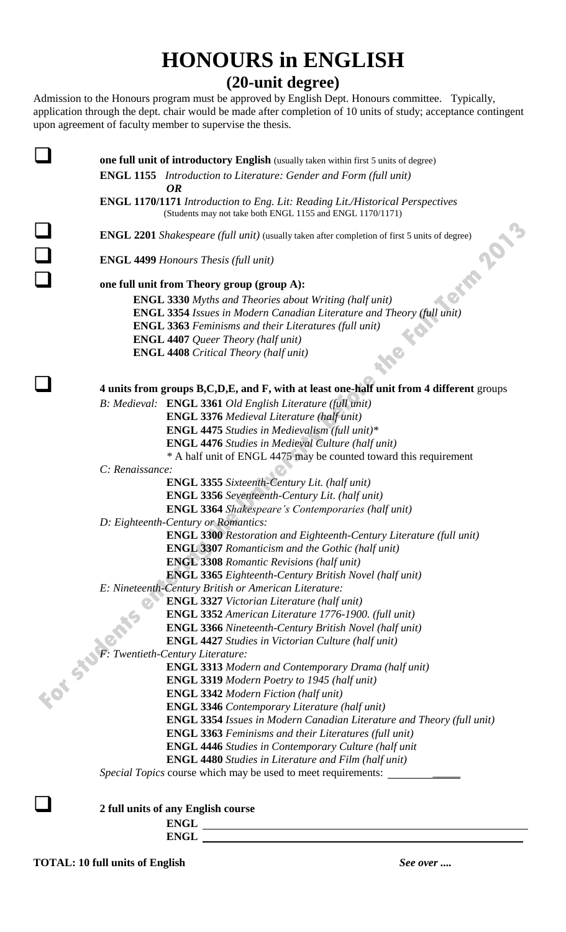## **HONOURS in ENGLISH (20-unit degree)**

Admission to the Honours program must be approved by English Dept. Honours committee. Typically, application through the dept. chair would be made after completion of 10 units of study; acceptance contingent upon agreement of faculty member to supervise the thesis.

|  |                                     | <b>one full unit of introductory English</b> (usually taken within first 5 units of degree)                                                                                                              |
|--|-------------------------------------|----------------------------------------------------------------------------------------------------------------------------------------------------------------------------------------------------------|
|  |                                     | <b>ENGL 1155</b> Introduction to Literature: Gender and Form (full unit)                                                                                                                                 |
|  |                                     | <b>OR</b>                                                                                                                                                                                                |
|  |                                     | ENGL 1170/1171 Introduction to Eng. Lit: Reading Lit./Historical Perspectives                                                                                                                            |
|  |                                     | (Students may not take both ENGL 1155 and ENGL 1170/1171)                                                                                                                                                |
|  |                                     |                                                                                                                                                                                                          |
|  |                                     | <b>ENGL 2201</b> Shakespeare (full unit) (usually taken after completion of first 5 units of degree)                                                                                                     |
|  |                                     | <b>ENGL 4499 Honours Thesis (full unit)</b>                                                                                                                                                              |
|  |                                     | erm 201.<br>one full unit from Theory group (group A):                                                                                                                                                   |
|  |                                     | <b>ENGL 3330</b> Myths and Theories about Writing (half unit)                                                                                                                                            |
|  |                                     | <b>ENGL 3354</b> Issues in Modern Canadian Literature and Theory (full unit)                                                                                                                             |
|  |                                     | <b>ENGL 3363</b> Feminisms and their Literatures (full unit)                                                                                                                                             |
|  |                                     | <b>ENGL 4407</b> Queer Theory (half unit)                                                                                                                                                                |
|  |                                     | <b>ENGL 4408</b> Critical Theory (half unit)                                                                                                                                                             |
|  |                                     | 4 units from groups B,C,D,E, and F, with at least one-half unit from 4 different groups                                                                                                                  |
|  |                                     | B: Medieval: ENGL 3361 Old English Literature (full unit)                                                                                                                                                |
|  |                                     | <b>ENGL 3376</b> Medieval Literature (half unit)                                                                                                                                                         |
|  |                                     | <b>ENGL 4475</b> Studies in Medievalism (full unit)*                                                                                                                                                     |
|  |                                     | <b>ENGL 4476</b> Studies in Medieval Culture (half unit)                                                                                                                                                 |
|  |                                     | * A half unit of ENGL 4475 may be counted toward this requirement                                                                                                                                        |
|  | C: Renaissance:                     |                                                                                                                                                                                                          |
|  |                                     | <b>ENGL 3355</b> Sixteenth-Century Lit. (half unit)                                                                                                                                                      |
|  |                                     | <b>ENGL 3356</b> Seventeenth-Century Lit. (half unit)                                                                                                                                                    |
|  |                                     | <b>ENGL 3364</b> Shakespeare's Contemporaries (half unit)                                                                                                                                                |
|  | D: Eighteenth-Century or Romantics: |                                                                                                                                                                                                          |
|  |                                     | <b>ENGL 3300</b> Restoration and Eighteenth-Century Literature (full unit)                                                                                                                               |
|  |                                     | <b>ENGL 3307</b> Romanticism and the Gothic (half unit)                                                                                                                                                  |
|  |                                     | <b>ENGL 3308</b> Romantic Revisions (half unit)                                                                                                                                                          |
|  |                                     | <b>ENGL 3365</b> Eighteenth-Century British Novel (half unit)                                                                                                                                            |
|  |                                     | E: Nineteenth-Century British or American Literature:                                                                                                                                                    |
|  |                                     | <b>ENGL 3327 Victorian Literature (half unit)</b>                                                                                                                                                        |
|  |                                     | <b>ENGL 3352</b> American Literature 1776-1900. (full unit)                                                                                                                                              |
|  |                                     | <b>ENGL 3366</b> Nineteenth-Century British Novel (half unit)                                                                                                                                            |
|  |                                     | <b>ENGL 4427</b> Studies in Victorian Culture (half unit)<br>$\begin{array}{c}\n 2.332 Am. \\ \text{ENGL 3366 Nint} \\ \text{ENGL 4427 Studi} \\ \text{ENGL 3313 M} \\ \text{ENGL 3313 M}\n \end{array}$ |
|  |                                     |                                                                                                                                                                                                          |
|  |                                     | <b>ENGL 3313 Modern and Contemporary Drama (half unit)</b>                                                                                                                                               |
|  |                                     | <b>ENGL 3319</b> Modern Poetry to 1945 (half unit)                                                                                                                                                       |
|  |                                     | <b>ENGL 3342 Modern Fiction (half unit)</b>                                                                                                                                                              |
|  |                                     | <b>ENGL 3346</b> Contemporary Literature (half unit)                                                                                                                                                     |
|  |                                     | <b>ENGL 3354</b> Issues in Modern Canadian Literature and Theory (full unit)                                                                                                                             |
|  |                                     | <b>ENGL 3363</b> Feminisms and their Literatures (full unit)                                                                                                                                             |
|  |                                     | <b>ENGL 4446</b> Studies in Contemporary Culture (half unit                                                                                                                                              |
|  |                                     | <b>ENGL 4480</b> Studies in Literature and Film (half unit)                                                                                                                                              |
|  |                                     | Special Topics course which may be used to meet requirements: ____                                                                                                                                       |
|  |                                     |                                                                                                                                                                                                          |
|  |                                     | 2 full units of any English course                                                                                                                                                                       |
|  |                                     | <b>ENGL</b>                                                                                                                                                                                              |